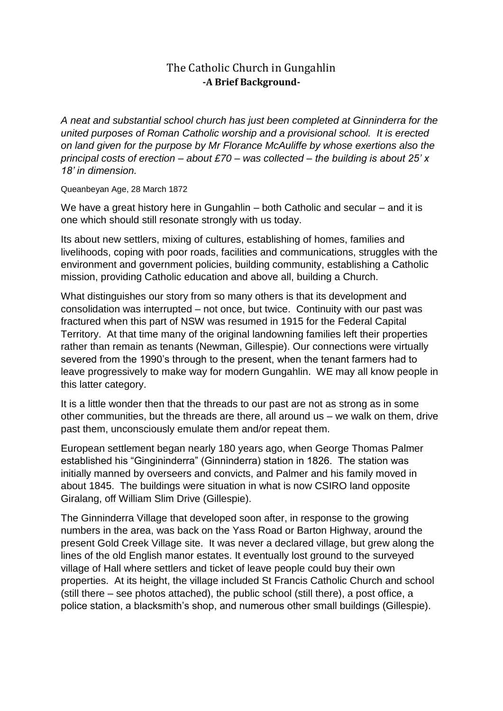## The Catholic Church in Gungahlin **-A Brief Background-**

*A neat and substantial school church has just been completed at Ginninderra for the united purposes of Roman Catholic worship and a provisional school. It is erected on land given for the purpose by Mr Florance McAuliffe by whose exertions also the principal costs of erection – about £70 – was collected – the building is about 25' x 18' in dimension.*

Queanbeyan Age, 28 March 1872

We have a great history here in Gungahlin – both Catholic and secular – and it is one which should still resonate strongly with us today.

Its about new settlers, mixing of cultures, establishing of homes, families and livelihoods, coping with poor roads, facilities and communications, struggles with the environment and government policies, building community, establishing a Catholic mission, providing Catholic education and above all, building a Church.

What distinguishes our story from so many others is that its development and consolidation was interrupted – not once, but twice. Continuity with our past was fractured when this part of NSW was resumed in 1915 for the Federal Capital Territory. At that time many of the original landowning families left their properties rather than remain as tenants (Newman, Gillespie). Our connections were virtually severed from the 1990's through to the present, when the tenant farmers had to leave progressively to make way for modern Gungahlin. WE may all know people in this latter category.

It is a little wonder then that the threads to our past are not as strong as in some other communities, but the threads are there, all around us – we walk on them, drive past them, unconsciously emulate them and/or repeat them.

European settlement began nearly 180 years ago, when George Thomas Palmer established his "Gingininderra" (Ginninderra) station in 1826. The station was initially manned by overseers and convicts, and Palmer and his family moved in about 1845. The buildings were situation in what is now CSIRO land opposite Giralang, off William Slim Drive (Gillespie).

The Ginninderra Village that developed soon after, in response to the growing numbers in the area, was back on the Yass Road or Barton Highway, around the present Gold Creek Village site. It was never a declared village, but grew along the lines of the old English manor estates. It eventually lost ground to the surveyed village of Hall where settlers and ticket of leave people could buy their own properties. At its height, the village included St Francis Catholic Church and school (still there – see photos attached), the public school (still there), a post office, a police station, a blacksmith's shop, and numerous other small buildings (Gillespie).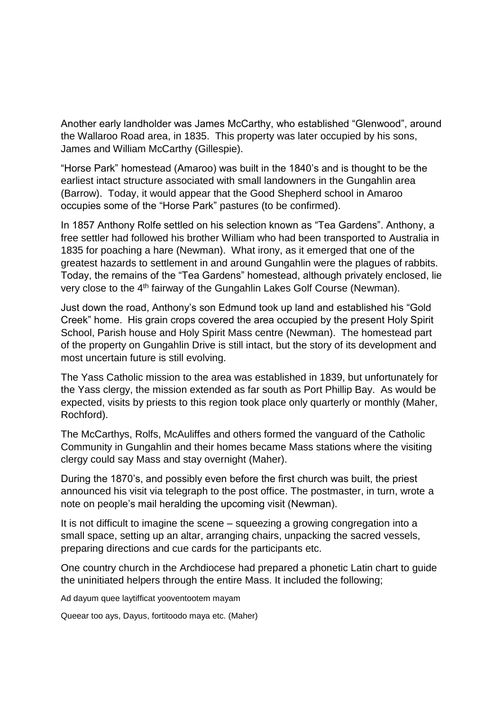Another early landholder was James McCarthy, who established "Glenwood", around the Wallaroo Road area, in 1835. This property was later occupied by his sons, James and William McCarthy (Gillespie).

"Horse Park" homestead (Amaroo) was built in the 1840's and is thought to be the earliest intact structure associated with small landowners in the Gungahlin area (Barrow). Today, it would appear that the Good Shepherd school in Amaroo occupies some of the "Horse Park" pastures (to be confirmed).

In 1857 Anthony Rolfe settled on his selection known as "Tea Gardens". Anthony, a free settler had followed his brother William who had been transported to Australia in 1835 for poaching a hare (Newman). What irony, as it emerged that one of the greatest hazards to settlement in and around Gungahlin were the plagues of rabbits. Today, the remains of the "Tea Gardens" homestead, although privately enclosed, lie very close to the 4th fairway of the Gungahlin Lakes Golf Course (Newman).

Just down the road, Anthony's son Edmund took up land and established his "Gold Creek" home. His grain crops covered the area occupied by the present Holy Spirit School, Parish house and Holy Spirit Mass centre (Newman). The homestead part of the property on Gungahlin Drive is still intact, but the story of its development and most uncertain future is still evolving.

The Yass Catholic mission to the area was established in 1839, but unfortunately for the Yass clergy, the mission extended as far south as Port Phillip Bay. As would be expected, visits by priests to this region took place only quarterly or monthly (Maher, Rochford).

The McCarthys, Rolfs, McAuliffes and others formed the vanguard of the Catholic Community in Gungahlin and their homes became Mass stations where the visiting clergy could say Mass and stay overnight (Maher).

During the 1870's, and possibly even before the first church was built, the priest announced his visit via telegraph to the post office. The postmaster, in turn, wrote a note on people's mail heralding the upcoming visit (Newman).

It is not difficult to imagine the scene – squeezing a growing congregation into a small space, setting up an altar, arranging chairs, unpacking the sacred vessels, preparing directions and cue cards for the participants etc.

One country church in the Archdiocese had prepared a phonetic Latin chart to guide the uninitiated helpers through the entire Mass. It included the following;

Ad dayum quee laytifficat yooventootem mayam

Queear too ays, Dayus, fortitoodo maya etc. (Maher)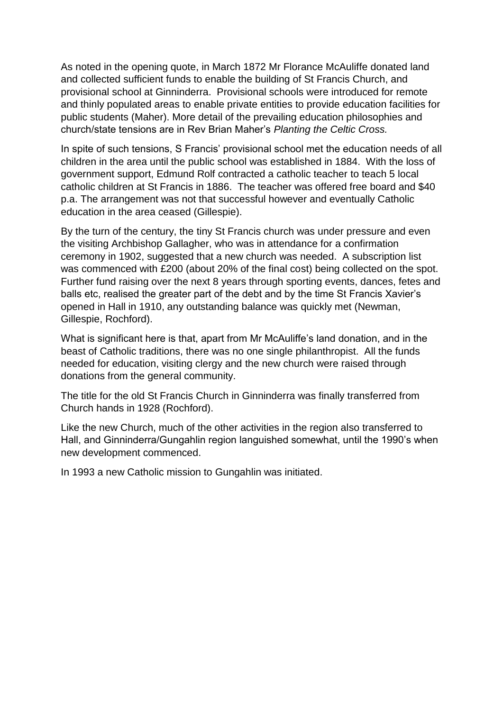As noted in the opening quote, in March 1872 Mr Florance McAuliffe donated land and collected sufficient funds to enable the building of St Francis Church, and provisional school at Ginninderra. Provisional schools were introduced for remote and thinly populated areas to enable private entities to provide education facilities for public students (Maher). More detail of the prevailing education philosophies and church/state tensions are in Rev Brian Maher's *Planting the Celtic Cross.*

In spite of such tensions, S Francis' provisional school met the education needs of all children in the area until the public school was established in 1884. With the loss of government support, Edmund Rolf contracted a catholic teacher to teach 5 local catholic children at St Francis in 1886. The teacher was offered free board and \$40 p.a. The arrangement was not that successful however and eventually Catholic education in the area ceased (Gillespie).

By the turn of the century, the tiny St Francis church was under pressure and even the visiting Archbishop Gallagher, who was in attendance for a confirmation ceremony in 1902, suggested that a new church was needed. A subscription list was commenced with £200 (about 20% of the final cost) being collected on the spot. Further fund raising over the next 8 years through sporting events, dances, fetes and balls etc, realised the greater part of the debt and by the time St Francis Xavier's opened in Hall in 1910, any outstanding balance was quickly met (Newman, Gillespie, Rochford).

What is significant here is that, apart from Mr McAuliffe's land donation, and in the beast of Catholic traditions, there was no one single philanthropist. All the funds needed for education, visiting clergy and the new church were raised through donations from the general community.

The title for the old St Francis Church in Ginninderra was finally transferred from Church hands in 1928 (Rochford).

Like the new Church, much of the other activities in the region also transferred to Hall, and Ginninderra/Gungahlin region languished somewhat, until the 1990's when new development commenced.

In 1993 a new Catholic mission to Gungahlin was initiated.